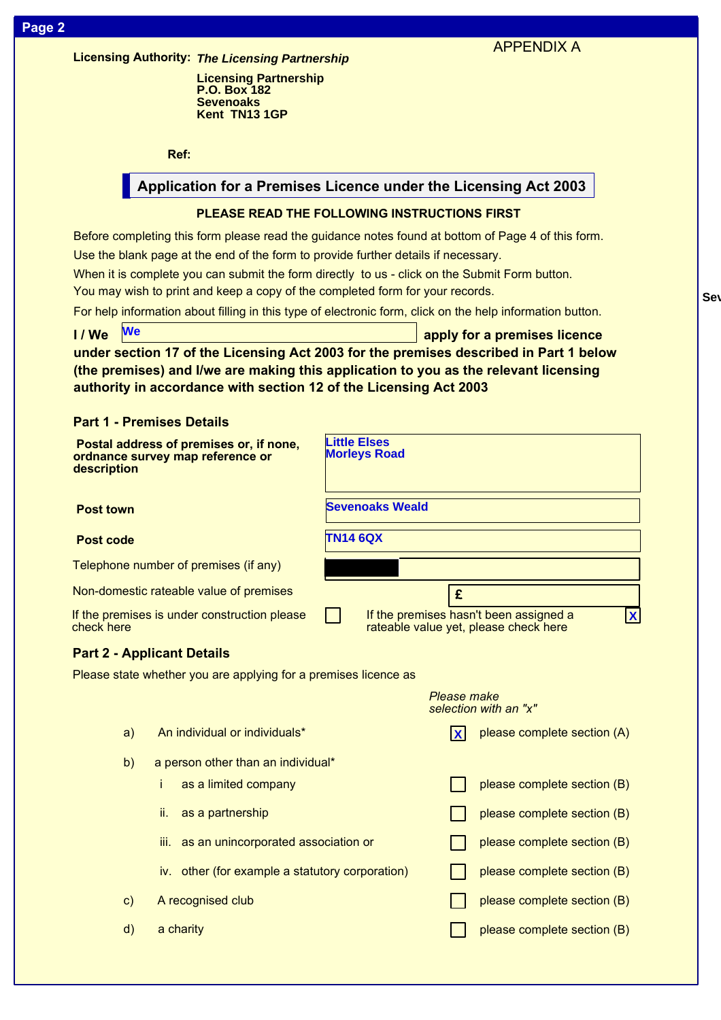APPENDIX A

**Licensing Authority:**  *The Licensing Partnership* **Licensing Partnership P.O. Box 182 Sevenoaks Kent TN13 1GP**

**Ref:**

## **Application for a Premises Licence under the Licensing Act 2003**

## **PLEASE READ THE FOLLOWING INSTRUCTIONS FIRST**

Before completing this form please read the guidance notes found at bottom of Page 4 of this form.

Use the blank page at the end of the form to provide further details if necessary.

When it is complete you can submit the form directly to us - click on the Submit Form button.

You may wish to print and keep a copy of the completed form for your records.

For help information about filling in this type of electronic form, click on the help information button.

**I** / We We apply for a premises licence

**under section 17 of the Licensing Act 2003 for the premises described in Part 1 below (the premises) and I/we are making this application to you as the relevant licensing authority in accordance with section 12 of the Licensing Act 2003**

## **Part 1 - Premises Details**

**We**

| description      | Postal address of premises or, if none,<br>ordnance survey map reference or | <b>Little Elses</b><br><b>Morleys Road</b> |              |                                                                                                |
|------------------|-----------------------------------------------------------------------------|--------------------------------------------|--------------|------------------------------------------------------------------------------------------------|
| <b>Post town</b> |                                                                             | <b>Sevenoaks Weald</b>                     |              |                                                                                                |
| <b>Post code</b> |                                                                             | <b>TN14 6QX</b>                            |              |                                                                                                |
|                  | Telephone number of premises (if any)                                       |                                            |              |                                                                                                |
|                  | Non-domestic rateable value of premises                                     |                                            | £            |                                                                                                |
| check here       | If the premises is under construction please                                |                                            |              | If the premises hasn't been assigned a<br>$\mathbf x$<br>rateable value yet, please check here |
|                  | <b>Part 2 - Applicant Details</b>                                           |                                            |              |                                                                                                |
|                  | Please state whether you are applying for a premises licence as             |                                            |              |                                                                                                |
|                  |                                                                             |                                            | Please make  | selection with an "x"                                                                          |
| a)               | An individual or individuals*                                               |                                            | $\mathbf{x}$ | please complete section (A)                                                                    |
| b)               | a person other than an individual*                                          |                                            |              |                                                                                                |
|                  | Ť<br>as a limited company                                                   |                                            |              | please complete section (B)                                                                    |
|                  | ii.<br>as a partnership                                                     |                                            |              | please complete section (B)                                                                    |
|                  | iii.<br>as an unincorporated association or                                 |                                            |              | please complete section (B)                                                                    |
|                  | iv. other (for example a statutory corporation)                             |                                            |              | please complete section (B)                                                                    |
| c)               | A recognised club                                                           |                                            |              | please complete section (B)                                                                    |
| d)               | a charity                                                                   |                                            |              | please complete section (B)                                                                    |

**Sevenoaks District Council**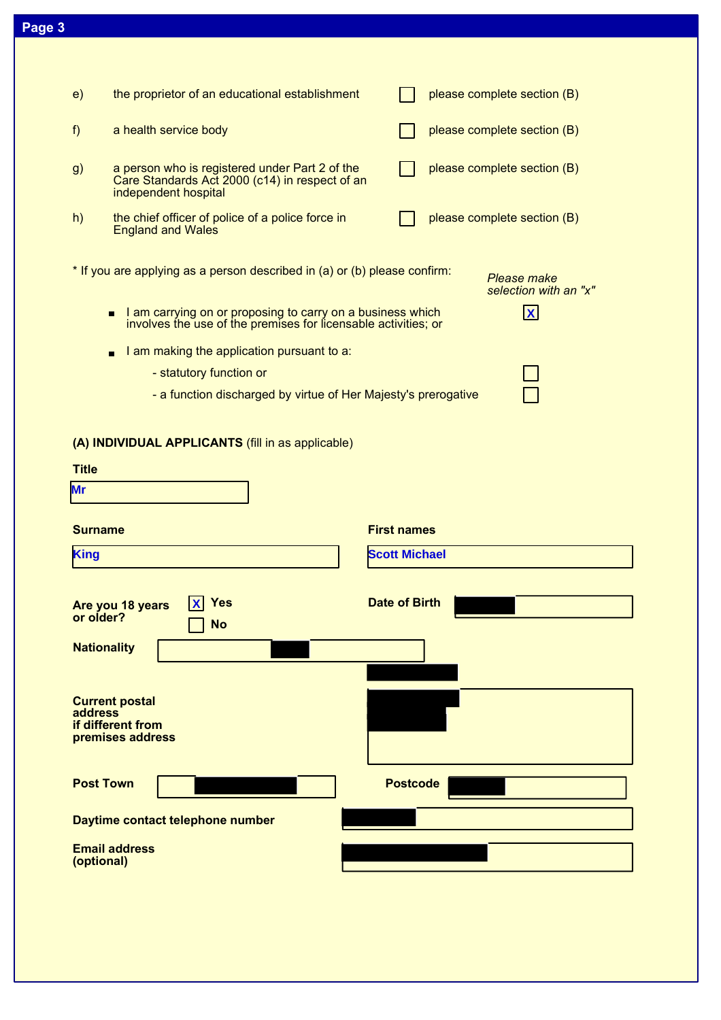| e) | the proprietor of an educational establishment                                                                           | please complete section (B) |
|----|--------------------------------------------------------------------------------------------------------------------------|-----------------------------|
| f) | a health service body                                                                                                    | please complete section (B) |
| g) | a person who is registered under Part 2 of the<br>Care Standards Act 2000 (c14) in respect of an<br>independent hospital | please complete section (B) |
| h) | the chief officer of police of a police force in<br><b>England and Wales</b>                                             | please complete section (B) |

\* If you are applying as a person described in (a) or (b) please confirm:

- $\blacksquare$ I am carrying on or proposing to carry on a business which involves the use of the premises for licensable activities; or
- $\blacksquare$  I am making the application pursuant to a:
	- statutory function or
	- a function discharged by virtue of Her Majesty's prerogative

*Please make selection with an "x"*

**X**

### **(A) INDIVIDUAL APPLICANTS** (fill in as applicable)

| <b>Title</b><br>Mr                                                         |                      |
|----------------------------------------------------------------------------|----------------------|
|                                                                            |                      |
| <b>Surname</b>                                                             | <b>First names</b>   |
| King                                                                       | <b>Scott Michael</b> |
| <b>Yes</b><br>Are you 18 years<br>$ \mathbf{X} $<br>or older?<br><b>No</b> | <b>Date of Birth</b> |
| <b>Nationality</b>                                                         |                      |
|                                                                            |                      |
| <b>Current postal</b><br>address<br>if different from<br>premises address  |                      |
|                                                                            |                      |
| <b>Post Town</b>                                                           | <b>Postcode</b>      |
| Daytime contact telephone number                                           |                      |
| <b>Email address</b><br>(optional)                                         |                      |
|                                                                            |                      |

## **Page 3**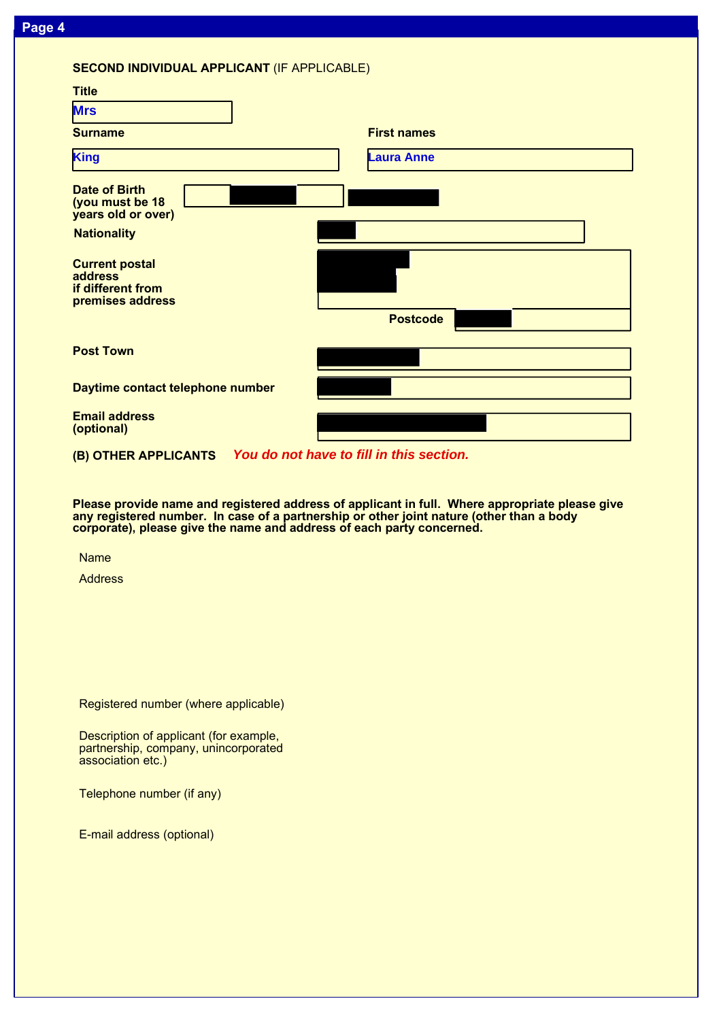#### **SECOND INDIVIDUAL APPLICANT** (IF APPLICABLE)

| <b>Title</b>                                                                     |                    |
|----------------------------------------------------------------------------------|--------------------|
| <b>Mrs</b>                                                                       |                    |
| <b>Surname</b>                                                                   | <b>First names</b> |
| King                                                                             | <b>Laura Anne</b>  |
| <b>Date of Birth</b><br>(you must be 18<br>years old or over)                    |                    |
| <b>Nationality</b>                                                               |                    |
| <b>Current postal</b><br><b>address</b><br>if different from<br>premises address |                    |
|                                                                                  | <b>Postcode</b>    |
| <b>Post Town</b>                                                                 |                    |
| Daytime contact telephone number                                                 |                    |
| <b>Email address</b><br>(optional)                                               |                    |

**(B) OTHER APPLICANTS** *You do not have to fill in this section.*

**Please provide name and registered address of applicant in full. Where appropriate please give any registered number. In case of a partnership or other joint nature (other than a body corporate), please give the name and address of each party concerned.**

Name

**Address** 

Registered number (where applicable)

Description of applicant (for example, partnership, company, unincorporated association etc.)

Telephone number (if any)

E-mail address (optional)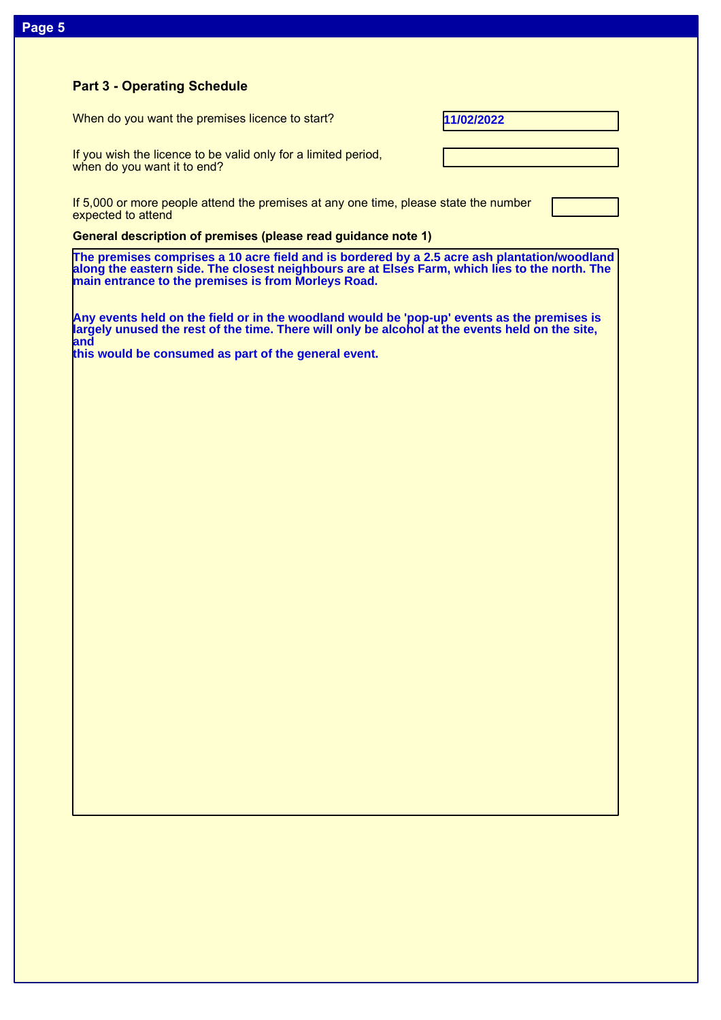### **Part 3 - Operating Schedule**

When do you want the premises licence to start?

| 11/02/2022 |
|------------|
|------------|

If you wish the licence to be valid only for a limited period, when do you want it to end?

If 5,000 or more people attend the premises at any one time, please state the number expected to attend

### **General description of premises (please read guidance note 1)**

**The premises comprises a 10 acre field and is bordered by a 2.5 acre ash plantation/woodland along the eastern side. The closest neighbours are at Elses Farm, which lies to the north. The main entrance to the premises is from Morleys Road.**

**Any events held on the field or in the woodland would be 'pop-up' events as the premises is largely unused the rest of the time. There will only be alcohol at the events held on the site, and**

**this would be consumed as part of the general event.**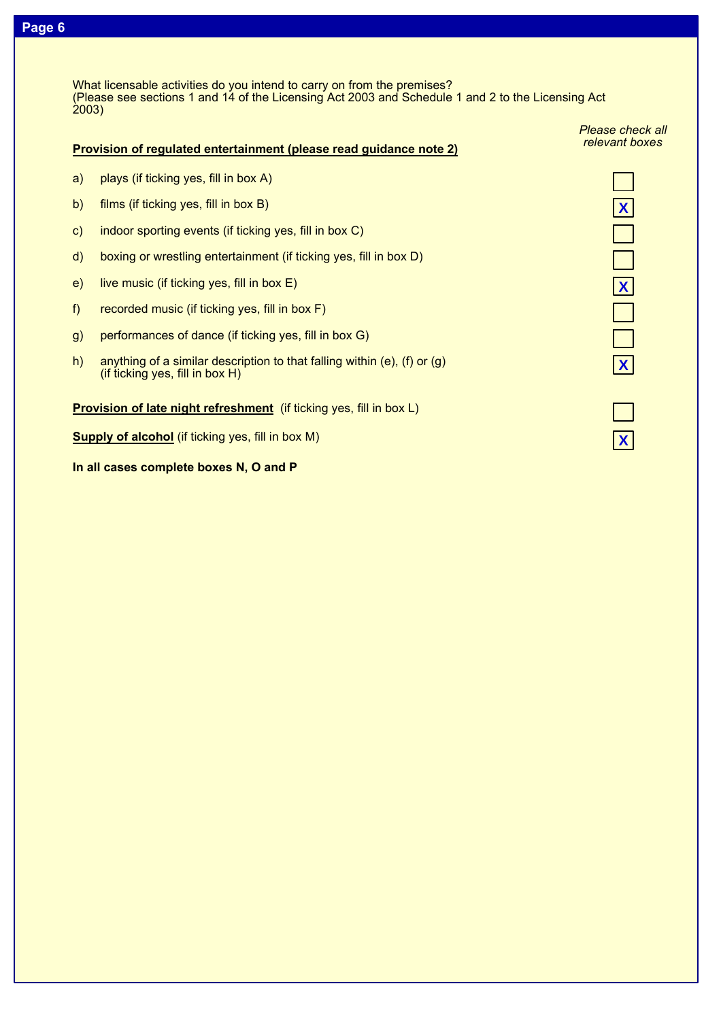## **Page 6**

What licensable activities do you intend to carry on from the premises? (Please see sections 1 and 14 of the Licensing Act 2003 and Schedule 1 and 2 to the Licensing Act 2003)

|              | Provision of regulated entertainment (please read guidance note 2)                                                 | Please check all<br>relevant boxes |
|--------------|--------------------------------------------------------------------------------------------------------------------|------------------------------------|
| a)           | plays (if ticking yes, fill in box A)                                                                              |                                    |
| b)           | films (if ticking yes, fill in box B)                                                                              | $\mathbf{X}$                       |
| $\mathbf{C}$ | indoor sporting events (if ticking yes, fill in box C)                                                             |                                    |
| $\mathsf{d}$ | boxing or wrestling entertainment (if ticking yes, fill in box D)                                                  |                                    |
| e)           | live music (if ticking yes, fill in box E)                                                                         | $\mathbf{X}$                       |
| f            | recorded music (if ticking yes, fill in box F)                                                                     |                                    |
| g)           | performances of dance (if ticking yes, fill in box G)                                                              |                                    |
| h)           | anything of a similar description to that falling within (e), (f) or $(g)$<br>$(if$ ticking yes, fill in box $H$ ) | $\mathbf{X}$                       |
|              | Provision of late night refreshment (if ticking yes, fill in box L)                                                |                                    |
|              | <b>Supply of alcohol</b> (if ticking yes, fill in box M)                                                           | X                                  |
|              | In all cases complete boxes N, O and P                                                                             |                                    |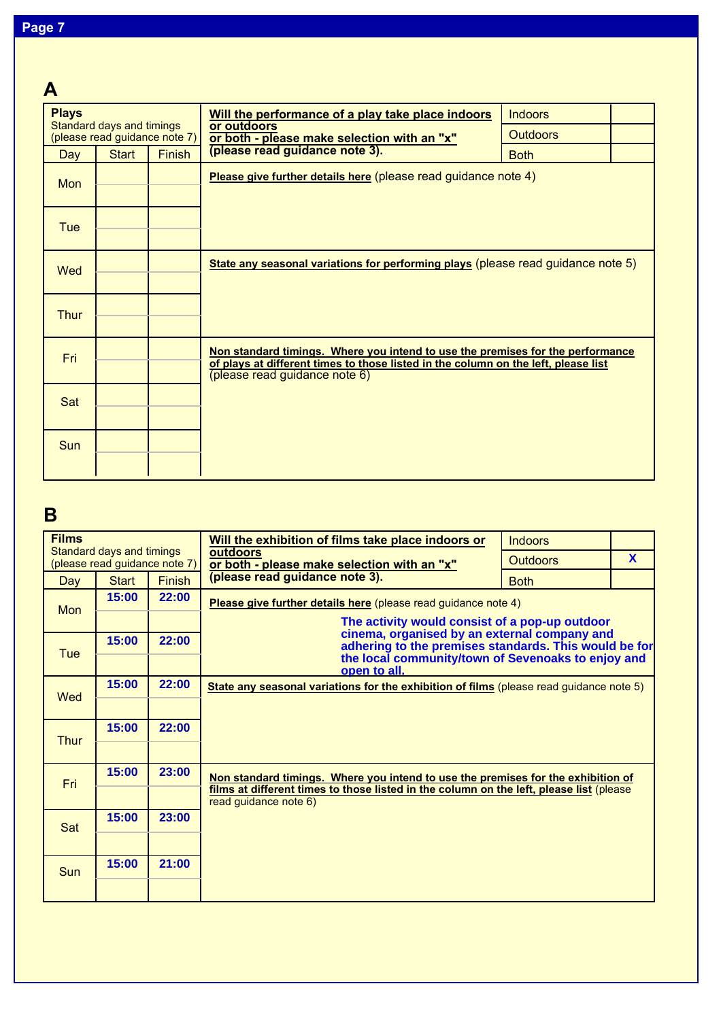# **A**

| <b>Plays</b><br>Standard days and timings<br>(please read guidance note 7)   |              |               | Will the performance of a play take place indoors                                                                                                                                                     | <b>Indoors</b>  |  |  |
|------------------------------------------------------------------------------|--------------|---------------|-------------------------------------------------------------------------------------------------------------------------------------------------------------------------------------------------------|-----------------|--|--|
|                                                                              |              |               | or outdoors<br>or both - please make selection with an "x"                                                                                                                                            | <b>Outdoors</b> |  |  |
| Day                                                                          | <b>Start</b> | <b>Finish</b> | (please read guidance note 3).                                                                                                                                                                        | <b>Both</b>     |  |  |
| Please give further details here (please read guidance note 4)<br><b>Mon</b> |              |               |                                                                                                                                                                                                       |                 |  |  |
| <b>Tue</b>                                                                   |              |               |                                                                                                                                                                                                       |                 |  |  |
| Wed                                                                          |              |               | State any seasonal variations for performing plays (please read guidance note 5)                                                                                                                      |                 |  |  |
| <b>Thur</b>                                                                  |              |               |                                                                                                                                                                                                       |                 |  |  |
| Fri                                                                          |              |               | Non standard timings. Where you intend to use the premises for the performance<br>of plays at different times to those listed in the column on the left, please list<br>(please read guidance note 6) |                 |  |  |
| Sat                                                                          |              |               |                                                                                                                                                                                                       |                 |  |  |
| Sun                                                                          |              |               |                                                                                                                                                                                                       |                 |  |  |

# **B**

| <b>Films</b>                                               |              |               | Will the exhibition of films take place indoors or                                                               | <b>Indoors</b>  |              |  |  |
|------------------------------------------------------------|--------------|---------------|------------------------------------------------------------------------------------------------------------------|-----------------|--------------|--|--|
| Standard days and timings<br>(please read guidance note 7) |              |               | outdoors<br>or both - please make selection with an "x"                                                          | <b>Outdoors</b> | $\mathbf{x}$ |  |  |
| Day                                                        | <b>Start</b> | <b>Finish</b> | (please read guidance note 3).                                                                                   | <b>Both</b>     |              |  |  |
| <b>Mon</b>                                                 | 15:00        | 22:00         | Please give further details here (please read guidance note 4)                                                   |                 |              |  |  |
|                                                            |              |               | The activity would consist of a pop-up outdoor                                                                   |                 |              |  |  |
|                                                            | 15:00        | 22:00         | cinema, organised by an external company and<br>adhering to the premises standards. This would be for            |                 |              |  |  |
| Tue                                                        |              |               | the local community/town of Sevenoaks to enjoy and<br>open to all.                                               |                 |              |  |  |
|                                                            | 15:00        | 22:00         | State any seasonal variations for the exhibition of films (please read guidance note 5)                          |                 |              |  |  |
| Wed                                                        |              |               |                                                                                                                  |                 |              |  |  |
|                                                            | 15:00        | 22:00         |                                                                                                                  |                 |              |  |  |
| <b>Thur</b>                                                |              |               |                                                                                                                  |                 |              |  |  |
|                                                            | 15:00        | 23:00         | Non standard timings. Where you intend to use the premises for the exhibition of                                 |                 |              |  |  |
| Fri                                                        |              |               | films at different times to those listed in the column on the left, please list (please<br>read guidance note 6) |                 |              |  |  |
|                                                            | 15:00        | 23:00         |                                                                                                                  |                 |              |  |  |
| Sat                                                        |              |               |                                                                                                                  |                 |              |  |  |
| <b>Sun</b>                                                 | 15:00        | 21:00         |                                                                                                                  |                 |              |  |  |
|                                                            |              |               |                                                                                                                  |                 |              |  |  |
|                                                            |              |               |                                                                                                                  |                 |              |  |  |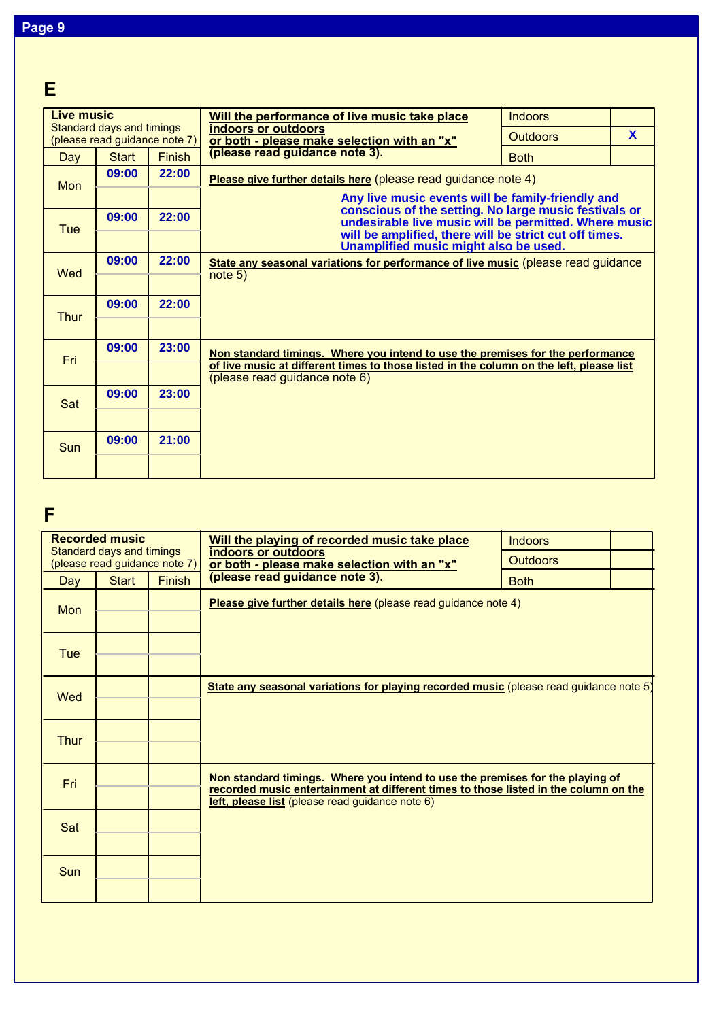## **E**

| Live music<br>Standard days and timings |              |        | Will the performance of live music take place                                                                            | <b>Indoors</b>  |          |  |  |
|-----------------------------------------|--------------|--------|--------------------------------------------------------------------------------------------------------------------------|-----------------|----------|--|--|
| (please read guidance note 7)           |              |        | indoors or outdoors<br>or both - please make selection with an "x"                                                       | <b>Outdoors</b> | <b>X</b> |  |  |
| Day                                     | <b>Start</b> | Finish | (please read guidance note 3).                                                                                           | <b>Both</b>     |          |  |  |
| <b>Mon</b>                              | 09:00        | 22:00  | Please give further details here (please read guidance note 4)                                                           |                 |          |  |  |
|                                         |              |        | Any live music events will be family-friendly and                                                                        |                 |          |  |  |
| Tue                                     | 09:00        | 22:00  | conscious of the setting. No large music festivals or<br>undesirable live music will be permitted. Where music           |                 |          |  |  |
|                                         |              |        | will be amplified, there will be strict cut off times.<br>Unamplified music might also be used.                          |                 |          |  |  |
|                                         | 09:00        | 22:00  | State any seasonal variations for performance of live music (please read guidance                                        |                 |          |  |  |
| Wed                                     |              |        | note 5)                                                                                                                  |                 |          |  |  |
|                                         | 09:00        | 22:00  |                                                                                                                          |                 |          |  |  |
| <b>Thur</b>                             |              |        |                                                                                                                          |                 |          |  |  |
|                                         | 09:00        | 23:00  | Non standard timings. Where you intend to use the premises for the performance                                           |                 |          |  |  |
| Fri                                     |              |        | of live music at different times to those listed in the column on the left, please list<br>(please read guidance note 6) |                 |          |  |  |
|                                         | 09:00        | 23:00  |                                                                                                                          |                 |          |  |  |
| Sat                                     |              |        |                                                                                                                          |                 |          |  |  |
|                                         | 09:00        | 21:00  |                                                                                                                          |                 |          |  |  |
| <b>Sun</b>                              |              |        |                                                                                                                          |                 |          |  |  |
|                                         |              |        |                                                                                                                          |                 |          |  |  |

# **F**

| <b>Recorded music</b>                                      |              |               | Will the playing of recorded music take place                                                                                                                                                                            | <b>Indoors</b>  |  |  |
|------------------------------------------------------------|--------------|---------------|--------------------------------------------------------------------------------------------------------------------------------------------------------------------------------------------------------------------------|-----------------|--|--|
| Standard days and timings<br>(please read guidance note 7) |              |               | indoors or outdoors<br>or both - please make selection with an "x"                                                                                                                                                       | <b>Outdoors</b> |  |  |
| Day                                                        | <b>Start</b> | <b>Finish</b> | (please read guidance note 3).                                                                                                                                                                                           | <b>Both</b>     |  |  |
| <b>Mon</b>                                                 |              |               | Please give further details here (please read guidance note 4)                                                                                                                                                           |                 |  |  |
| Tue                                                        |              |               |                                                                                                                                                                                                                          |                 |  |  |
| Wed                                                        |              |               | State any seasonal variations for playing recorded music (please read guidance note 5)                                                                                                                                   |                 |  |  |
| <b>Thur</b>                                                |              |               |                                                                                                                                                                                                                          |                 |  |  |
| Fri                                                        |              |               | Non standard timings. Where you intend to use the premises for the playing of<br>recorded music entertainment at different times to those listed in the column on the<br>left, please list (please read guidance note 6) |                 |  |  |
| Sat                                                        |              |               |                                                                                                                                                                                                                          |                 |  |  |
| Sun                                                        |              |               |                                                                                                                                                                                                                          |                 |  |  |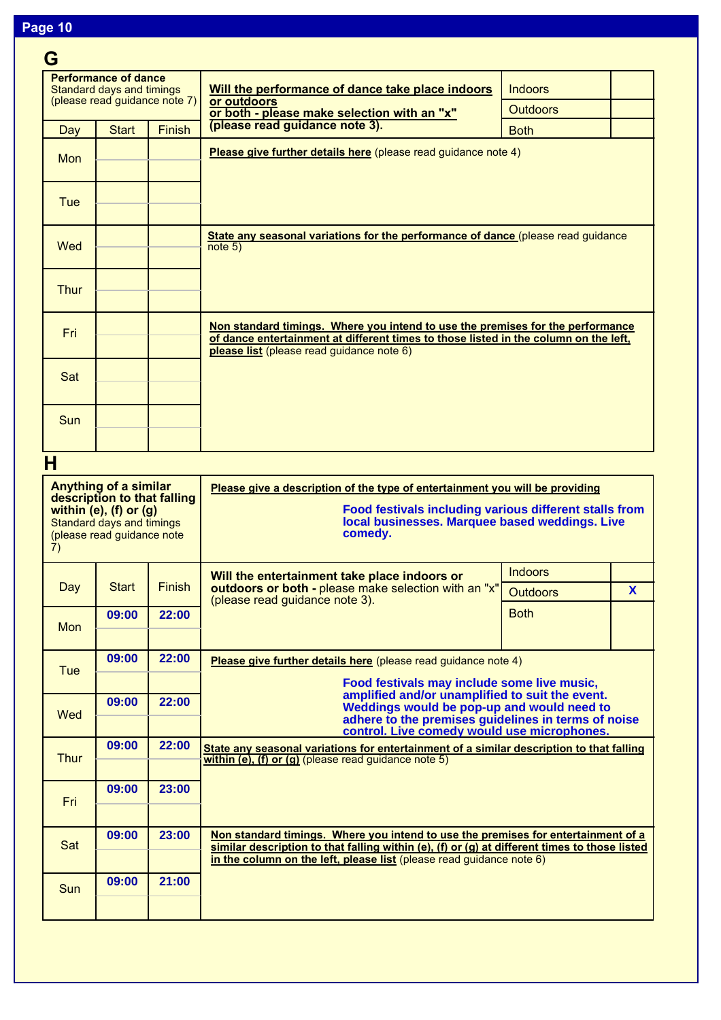## **Page 10**

| G           |                                                                                                                                                                                                                                                |               |                                                                                                                                                                                                                     |                 |                    |  |  |  |
|-------------|------------------------------------------------------------------------------------------------------------------------------------------------------------------------------------------------------------------------------------------------|---------------|---------------------------------------------------------------------------------------------------------------------------------------------------------------------------------------------------------------------|-----------------|--------------------|--|--|--|
|             | <b>Performance of dance</b><br>Standard days and timings                                                                                                                                                                                       |               | Will the performance of dance take place indoors                                                                                                                                                                    | <b>Indoors</b>  |                    |  |  |  |
|             | (please read guidance note 7)                                                                                                                                                                                                                  |               | or outdoors<br>or both - please make selection with an "x"                                                                                                                                                          | <b>Outdoors</b> |                    |  |  |  |
| Day         | <b>Start</b>                                                                                                                                                                                                                                   | <b>Finish</b> | (please read guidance note 3).                                                                                                                                                                                      | <b>Both</b>     |                    |  |  |  |
| Mon         |                                                                                                                                                                                                                                                |               | Please give further details here (please read guidance note 4)                                                                                                                                                      |                 |                    |  |  |  |
| <b>Tue</b>  |                                                                                                                                                                                                                                                |               |                                                                                                                                                                                                                     |                 |                    |  |  |  |
| Wed         |                                                                                                                                                                                                                                                |               | <b>State any seasonal variations for the performance of dance (please read guidance)</b><br>note 5)                                                                                                                 |                 |                    |  |  |  |
| <b>Thur</b> |                                                                                                                                                                                                                                                |               |                                                                                                                                                                                                                     |                 |                    |  |  |  |
| Fri         |                                                                                                                                                                                                                                                |               | Non standard timings. Where you intend to use the premises for the performance<br>of dance entertainment at different times to those listed in the column on the left,<br>please list (please read guidance note 6) |                 |                    |  |  |  |
| Sat         |                                                                                                                                                                                                                                                |               |                                                                                                                                                                                                                     |                 |                    |  |  |  |
| Sun         |                                                                                                                                                                                                                                                |               |                                                                                                                                                                                                                     |                 |                    |  |  |  |
| н           |                                                                                                                                                                                                                                                |               |                                                                                                                                                                                                                     |                 |                    |  |  |  |
|             | <b>Anything of a similar</b>                                                                                                                                                                                                                   |               | Please give a description of the type of entertainment you will be providing                                                                                                                                        |                 |                    |  |  |  |
| 7)          | description to that falling<br>Food festivals including various different stalls from<br>within $(e)$ , $(f)$ or $(g)$<br>local businesses. Marquee based weddings. Live<br>Standard days and timings<br>comedy.<br>(please read guidance note |               |                                                                                                                                                                                                                     |                 |                    |  |  |  |
|             |                                                                                                                                                                                                                                                |               | Will the entertainment take place indoors or                                                                                                                                                                        | <b>Indoors</b>  |                    |  |  |  |
| Day         | <b>Start</b>                                                                                                                                                                                                                                   | <b>Finish</b> | outdoors or both - please make selection with an "x"<br>(please read guidance note 3).                                                                                                                              | <b>Outdoors</b> | $\pmb{\mathsf{X}}$ |  |  |  |
| Mon         | 09:00                                                                                                                                                                                                                                          | 22:00         |                                                                                                                                                                                                                     | <b>Both</b>     |                    |  |  |  |
|             |                                                                                                                                                                                                                                                |               |                                                                                                                                                                                                                     |                 |                    |  |  |  |
| <b>Tue</b>  | 09:00                                                                                                                                                                                                                                          | 22:00         | Please give further details here (please read guidance note 4)                                                                                                                                                      |                 |                    |  |  |  |
|             |                                                                                                                                                                                                                                                |               | Food festivals may include some live music,                                                                                                                                                                         |                 |                    |  |  |  |
|             | 09:00                                                                                                                                                                                                                                          | 22:00         | amplified and/or unamplified to suit the event.<br>Weddings would be pop-up and would need to                                                                                                                       |                 |                    |  |  |  |
| Wed         |                                                                                                                                                                                                                                                |               | adhere to the premises guidelines in terms of noise<br>control. Live comedy would use microphones.                                                                                                                  |                 |                    |  |  |  |
| <b>Thur</b> | 09:00                                                                                                                                                                                                                                          | 22:00         | State any seasonal variations for entertainment of a similar description to that falling<br>within (e), (f) or (g) (please read guidance note 5)                                                                    |                 |                    |  |  |  |
| Fri         | 09:00                                                                                                                                                                                                                                          | 23:00         |                                                                                                                                                                                                                     |                 |                    |  |  |  |
|             |                                                                                                                                                                                                                                                |               |                                                                                                                                                                                                                     |                 |                    |  |  |  |
| Sat         | 09:00                                                                                                                                                                                                                                          | 23:00         | Non standard timings. Where you intend to use the premises for entertainment of a<br>similar description to that falling within (e), (f) or (g) at different times to those listed                                  |                 |                    |  |  |  |
| Sun         | 09:00                                                                                                                                                                                                                                          | 21:00         | in the column on the left, please list (please read guidance note 6)                                                                                                                                                |                 |                    |  |  |  |
|             |                                                                                                                                                                                                                                                |               |                                                                                                                                                                                                                     |                 |                    |  |  |  |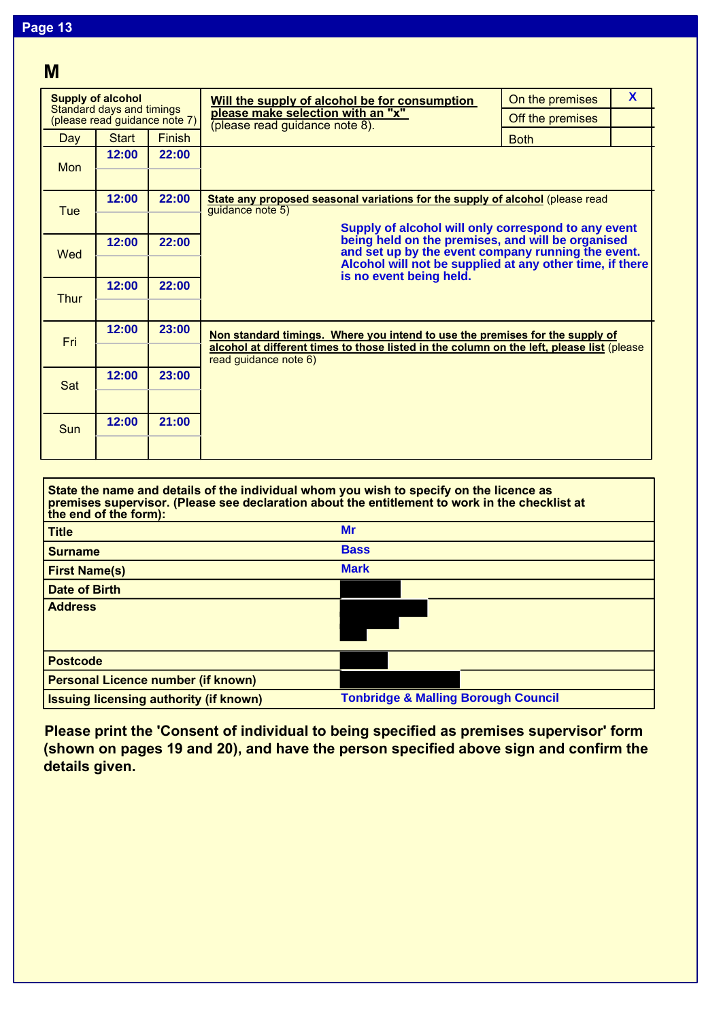## **M**

| <b>Supply of alcohol</b><br>Standard days and timings<br>(please read guidance note 7) |              |               | Will the supply of alcohol be for consumption                                                                                                                                                      | On the premises  | X |  |
|----------------------------------------------------------------------------------------|--------------|---------------|----------------------------------------------------------------------------------------------------------------------------------------------------------------------------------------------------|------------------|---|--|
|                                                                                        |              |               | please make selection with an "x"<br>(please read guidance note 8).                                                                                                                                | Off the premises |   |  |
| Day                                                                                    | <b>Start</b> | <b>Finish</b> |                                                                                                                                                                                                    | <b>Both</b>      |   |  |
| <b>Mon</b>                                                                             | 12:00        | 22:00         |                                                                                                                                                                                                    |                  |   |  |
| <b>Tue</b>                                                                             | 12:00        | 22:00         | State any proposed seasonal variations for the supply of alcohol (please read<br>guidance note 5)<br>Supply of alcohol will only correspond to any event                                           |                  |   |  |
| Wed                                                                                    | 12:00        | 22:00         | being held on the premises, and will be organised<br>and set up by the event company running the event.<br>Alcohol will not be supplied at any other time, if there                                |                  |   |  |
| Thur                                                                                   | 12:00        | 22:00         | is no event being held.                                                                                                                                                                            |                  |   |  |
| Fri                                                                                    | 12:00        | 23:00         | Non standard timings. Where you intend to use the premises for the supply of<br>alcohol at different times to those listed in the column on the left, please list (please<br>read quidance note 6) |                  |   |  |
| Sat                                                                                    | 12:00        | 23:00         |                                                                                                                                                                                                    |                  |   |  |
| <b>Sun</b>                                                                             | 12:00        | 21:00         |                                                                                                                                                                                                    |                  |   |  |

| State the name and details of the individual whom you wish to specify on the licence as<br>premises supervisor. (Please see declaration about the entitlement to work in the checklist at<br>the end of the form): |                                                |
|--------------------------------------------------------------------------------------------------------------------------------------------------------------------------------------------------------------------|------------------------------------------------|
| <b>Title</b>                                                                                                                                                                                                       | Mr                                             |
| <b>Surname</b>                                                                                                                                                                                                     | <b>Bass</b>                                    |
| <b>First Name(s)</b>                                                                                                                                                                                               | <b>Mark</b>                                    |
| Date of Birth                                                                                                                                                                                                      |                                                |
| <b>Address</b>                                                                                                                                                                                                     |                                                |
|                                                                                                                                                                                                                    |                                                |
| <b>Postcode</b>                                                                                                                                                                                                    |                                                |
| <b>Personal Licence number (if known)</b>                                                                                                                                                                          |                                                |
| <b>Issuing licensing authority (if known)</b>                                                                                                                                                                      | <b>Tonbridge &amp; Malling Borough Council</b> |

**Please print the 'Consent of individual to being specified as premises supervisor' form (shown on pages 19 and 20), and have the person specified above sign and confirm the details given.**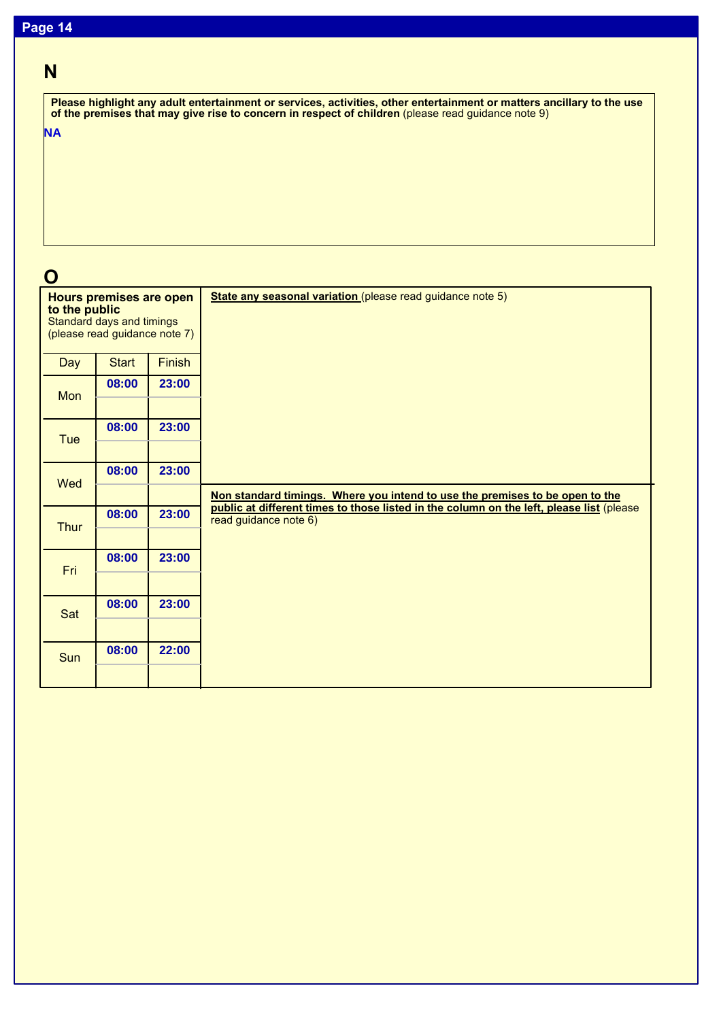| Page 14 |  |  |
|---------|--|--|
|         |  |  |

|           | Please highlight any adult entertainment or services, activities, other entertainment or matters ancillary to the use<br>of the premises that may give rise to concern in respect of children (please read guidance note 9) |
|-----------|-----------------------------------------------------------------------------------------------------------------------------------------------------------------------------------------------------------------------------|
| <b>NA</b> |                                                                                                                                                                                                                             |
|           |                                                                                                                                                                                                                             |
|           |                                                                                                                                                                                                                             |
|           |                                                                                                                                                                                                                             |
|           |                                                                                                                                                                                                                             |

**O**

| <b>Hours premises are open</b><br>to the public<br>Standard days and timings<br>(please read guidance note 7) |              |               | State any seasonal variation (please read guidance note 5)                                                        |
|---------------------------------------------------------------------------------------------------------------|--------------|---------------|-------------------------------------------------------------------------------------------------------------------|
| Day                                                                                                           | <b>Start</b> | <b>Finish</b> |                                                                                                                   |
| Mon                                                                                                           | 08:00        | 23:00         |                                                                                                                   |
| <b>Tue</b>                                                                                                    | 08:00        | 23:00         |                                                                                                                   |
| Wed                                                                                                           | 08:00        | 23:00         |                                                                                                                   |
|                                                                                                               |              |               | Non standard timings. Where you intend to use the premises to be open to the                                      |
| <b>Thur</b>                                                                                                   | 08:00        | 23:00         | public at different times to those listed in the column on the left, please list (please<br>read guidance note 6) |
| Fri                                                                                                           | 08:00        | 23:00         |                                                                                                                   |
| Sat                                                                                                           | 08:00        | 23:00         |                                                                                                                   |
| Sun                                                                                                           | 08:00        | 22:00         |                                                                                                                   |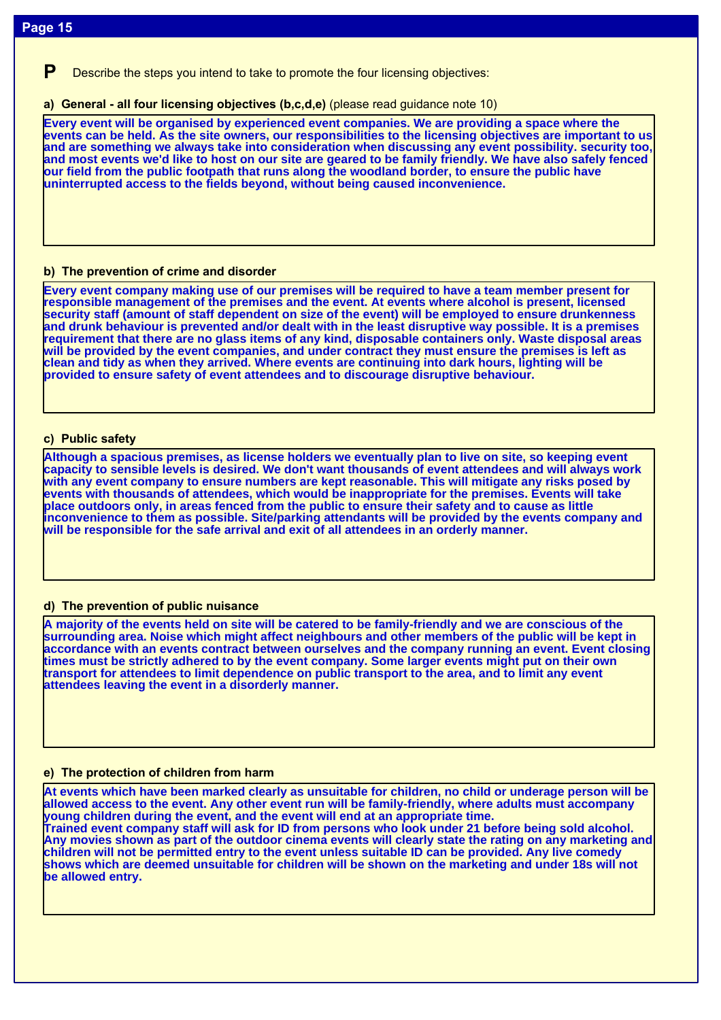**P** Describe the steps you intend to take to promote the four licensing objectives:

**a) General - all four licensing objectives (b,c,d,e)** (please read guidance note 10)

**Every event will be organised by experienced event companies. We are providing a space where the events can be held. As the site owners, our responsibilities to the licensing objectives are important to us and are something we always take into consideration when discussing any event possibility. security too, and most events we'd like to host on our site are geared to be family friendly. We have also safely fenced our field from the public footpath that runs along the woodland border, to ensure the public have uninterrupted access to the fields beyond, without being caused inconvenience.**

#### **b) The prevention of crime and disorder**

**Every event company making use of our premises will be required to have a team member present for responsible management of the premises and the event. At events where alcohol is present, licensed security staff (amount of staff dependent on size of the event) will be employed to ensure drunkenness and drunk behaviour is prevented and/or dealt with in the least disruptive way possible. It is a premises requirement that there are no glass items of any kind, disposable containers only. Waste disposal areas will be provided by the event companies, and under contract they must ensure the premises is left as clean and tidy as when they arrived. Where events are continuing into dark hours, lighting will be provided to ensure safety of event attendees and to discourage disruptive behaviour.**

#### **c) Public safety**

**Although a spacious premises, as license holders we eventually plan to live on site, so keeping event capacity to sensible levels is desired. We don't want thousands of event attendees and will always work with any event company to ensure numbers are kept reasonable. This will mitigate any risks posed by events with thousands of attendees, which would be inappropriate for the premises. Events will take place outdoors only, in areas fenced from the public to ensure their safety and to cause as little inconvenience to them as possible. Site/parking attendants will be provided by the events company and will be responsible for the safe arrival and exit of all attendees in an orderly manner.**

#### **d) The prevention of public nuisance**

**A majority of the events held on site will be catered to be family-friendly and we are conscious of the surrounding area. Noise which might affect neighbours and other members of the public will be kept in accordance with an events contract between ourselves and the company running an event. Event closing times must be strictly adhered to by the event company. Some larger events might put on their own transport for attendees to limit dependence on public transport to the area, and to limit any event attendees leaving the event in a disorderly manner.**

#### **e) The protection of children from harm**

**At events which have been marked clearly as unsuitable for children, no child or underage person will be allowed access to the event. Any other event run will be family-friendly, where adults must accompany young children during the event, and the event will end at an appropriate time. Trained event company staff will ask for ID from persons who look under 21 before being sold alcohol. Any movies shown as part of the outdoor cinema events will clearly state the rating on any marketing and children will not be permitted entry to the event unless suitable ID can be provided. Any live comedy shows which are deemed unsuitable for children will be shown on the marketing and under 18s will not be allowed entry.**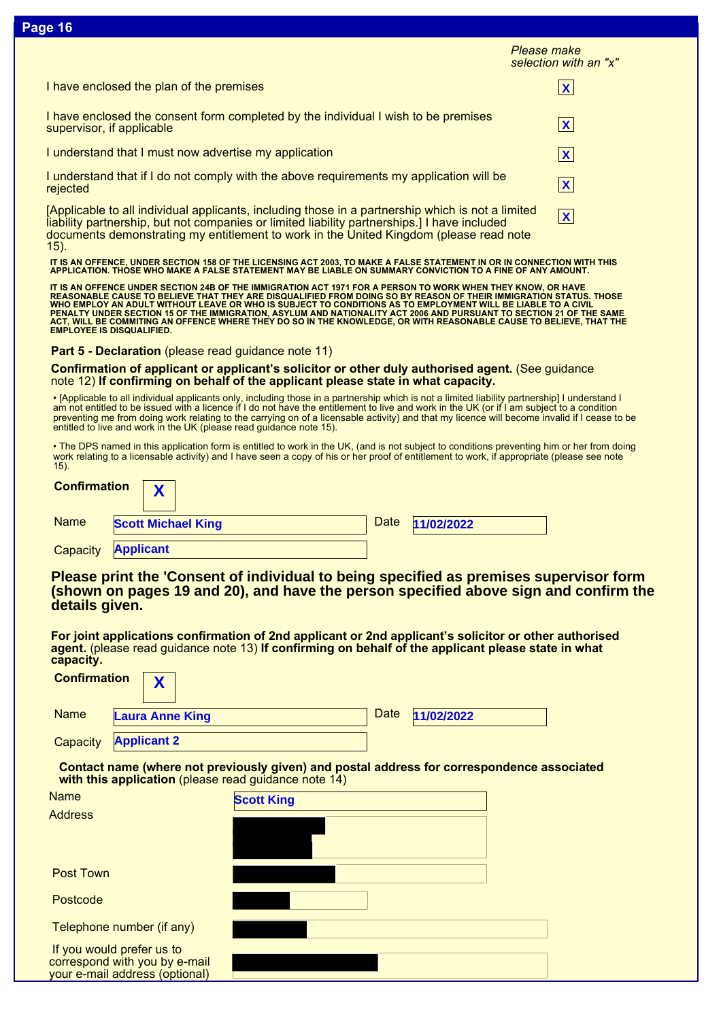| סו שנ                                                                                                                                                                                            |                                                                     |                                                                                                                                                                                                                                                                                                                                                                                                                                                                                                                                                                                                      |      |            |                    |                       |
|--------------------------------------------------------------------------------------------------------------------------------------------------------------------------------------------------|---------------------------------------------------------------------|------------------------------------------------------------------------------------------------------------------------------------------------------------------------------------------------------------------------------------------------------------------------------------------------------------------------------------------------------------------------------------------------------------------------------------------------------------------------------------------------------------------------------------------------------------------------------------------------------|------|------------|--------------------|-----------------------|
|                                                                                                                                                                                                  |                                                                     |                                                                                                                                                                                                                                                                                                                                                                                                                                                                                                                                                                                                      |      |            | <b>Please make</b> |                       |
|                                                                                                                                                                                                  |                                                                     |                                                                                                                                                                                                                                                                                                                                                                                                                                                                                                                                                                                                      |      |            |                    | selection with an "x" |
|                                                                                                                                                                                                  | I have enclosed the plan of the premises                            |                                                                                                                                                                                                                                                                                                                                                                                                                                                                                                                                                                                                      |      |            |                    | $\mathbf{X}$          |
|                                                                                                                                                                                                  | supervisor, if applicable                                           | I have enclosed the consent form completed by the individual I wish to be premises                                                                                                                                                                                                                                                                                                                                                                                                                                                                                                                   |      |            |                    | $ \mathbf{x} $        |
|                                                                                                                                                                                                  | I understand that I must now advertise my application               |                                                                                                                                                                                                                                                                                                                                                                                                                                                                                                                                                                                                      |      |            |                    | $\mathbf{x}$          |
| rejected                                                                                                                                                                                         |                                                                     | I understand that if I do not comply with the above requirements my application will be                                                                                                                                                                                                                                                                                                                                                                                                                                                                                                              |      |            |                    | $\mathbf{X}$          |
| $15$ ).                                                                                                                                                                                          |                                                                     | [Applicable to all individual applicants, including those in a partnership which is not a limited<br>liability partnership, but not companies or limited liability partnerships.] I have included<br>documents demonstrating my entitlement to work in the United Kingdom (please read note                                                                                                                                                                                                                                                                                                          |      |            |                    | $ \mathbf{X} $        |
|                                                                                                                                                                                                  |                                                                     | IT IS AN OFFENCE, UNDER SECTION 158 OF THE LICENSING ACT 2003, TO MAKE A FALSE STATEMENT IN OR IN CONNECTION WITH THIS<br><u>APPLICATION. THOSE WHO MAKE A FALSE STATEMENT MAY BE LIABLE ON SUMMARY CONVICTION TO A FINE OF ANY AMOUNT.</u>                                                                                                                                                                                                                                                                                                                                                          |      |            |                    |                       |
|                                                                                                                                                                                                  | <b>EMPLOYEE IS DISQUALIFIED.</b>                                    | IT IS AN OFFENCE UNDER SECTION 24B OF THE IMMIGRATION ACT 1971 FOR A PERSON TO WORK WHEN THEY KNOW, OR HAVE<br>REASONABLE CAUSE TO BELIEVE THAT THEY ARE DISQUALIFIED FROM DOING SO BY REASON OF THEIR IMMIGRATION STATUS. THOSE<br><u>WHO EMPLOY AN ADULT WITHOUT LEAVE OR WHO IS SUBJECT TO CONDITIONS AS TO EMPLOYMENT WILL BE LIABLE TO A CIVIL</u><br>PENALTY UNDER SECTION 15 OF THE IMMIGRATION, ASYLUM AND NATIONALITY ACT 2006 AND PURSUANT TO SECTION 21 OF THE SAME<br>ACT, WILL BE COMMITING AN OFFENCE WHERE THEY DO SO IN THE KNOWLEDGE, OR WITH REASONABLE CAUSE TO BELIEVE, THAT THE |      |            |                    |                       |
|                                                                                                                                                                                                  | <b>Part 5 - Declaration</b> (please read guidance note 11)          |                                                                                                                                                                                                                                                                                                                                                                                                                                                                                                                                                                                                      |      |            |                    |                       |
|                                                                                                                                                                                                  |                                                                     | Confirmation of applicant or applicant's solicitor or other duly authorised agent. (See guidance<br>note 12) If confirming on behalf of the applicant please state in what capacity.                                                                                                                                                                                                                                                                                                                                                                                                                 |      |            |                    |                       |
|                                                                                                                                                                                                  | entitled to live and work in the UK (please read guidance note 15). | . [Applicable to all individual applicants only, including those in a partnership which is not a limited liability partnership] I understand I<br>am not entitled to be issued with a licence if I do not have the entitlement to live and work in the UK (or if I am subject to a condition<br>preventing me from doing work relating to the carrying on of a licensable activity) and that my licence will become invalid if I cease to be                                                                                                                                                         |      |            |                    |                       |
| $(15)$ .                                                                                                                                                                                         |                                                                     | . The DPS named in this application form is entitled to work in the UK, (and is not subject to conditions preventing him or her from doing<br>work relating to a licensable activity) and I have seen a copy of his or her proof of entitlement to work, if appropriate (please see note                                                                                                                                                                                                                                                                                                             |      |            |                    |                       |
| <b>Confirmation</b>                                                                                                                                                                              | X                                                                   |                                                                                                                                                                                                                                                                                                                                                                                                                                                                                                                                                                                                      |      |            |                    |                       |
| <b>Name</b>                                                                                                                                                                                      | <b>Scott Michael King</b>                                           |                                                                                                                                                                                                                                                                                                                                                                                                                                                                                                                                                                                                      | Date | 11/02/2022 |                    |                       |
| Capacity                                                                                                                                                                                         | <b>Applicant</b>                                                    |                                                                                                                                                                                                                                                                                                                                                                                                                                                                                                                                                                                                      |      |            |                    |                       |
|                                                                                                                                                                                                  |                                                                     |                                                                                                                                                                                                                                                                                                                                                                                                                                                                                                                                                                                                      |      |            |                    |                       |
| Please print the 'Consent of individual to being specified as premises supervisor form<br>(shown on pages 19 and 20), and have the person specified above sign and confirm the<br>details given. |                                                                     |                                                                                                                                                                                                                                                                                                                                                                                                                                                                                                                                                                                                      |      |            |                    |                       |
| capacity.                                                                                                                                                                                        |                                                                     | For joint applications confirmation of 2nd applicant or 2nd applicant's solicitor or other authorised<br>agent. (please read guidance note 13) If confirming on behalf of the applicant please state in what                                                                                                                                                                                                                                                                                                                                                                                         |      |            |                    |                       |
| <b>Confirmation</b>                                                                                                                                                                              | X                                                                   |                                                                                                                                                                                                                                                                                                                                                                                                                                                                                                                                                                                                      |      |            |                    |                       |
| <b>Name</b>                                                                                                                                                                                      | <b>Laura Anne King</b>                                              |                                                                                                                                                                                                                                                                                                                                                                                                                                                                                                                                                                                                      | Date | 11/02/2022 |                    |                       |
| Capacity                                                                                                                                                                                         | <b>Applicant 2</b>                                                  |                                                                                                                                                                                                                                                                                                                                                                                                                                                                                                                                                                                                      |      |            |                    |                       |
|                                                                                                                                                                                                  | with this application (please read guidance note 14)                | Contact name (where not previously given) and postal address for correspondence associated                                                                                                                                                                                                                                                                                                                                                                                                                                                                                                           |      |            |                    |                       |
| <b>Name</b>                                                                                                                                                                                      |                                                                     | <b>Scott King</b>                                                                                                                                                                                                                                                                                                                                                                                                                                                                                                                                                                                    |      |            |                    |                       |
| <b>Address</b>                                                                                                                                                                                   |                                                                     |                                                                                                                                                                                                                                                                                                                                                                                                                                                                                                                                                                                                      |      |            |                    |                       |
|                                                                                                                                                                                                  |                                                                     |                                                                                                                                                                                                                                                                                                                                                                                                                                                                                                                                                                                                      |      |            |                    |                       |

|  | Post Town |
|--|-----------|
|  |           |

Postcode

Telephone number (if any)

 If you would prefer us to correspond with you by e-mail your e-mail address (optional)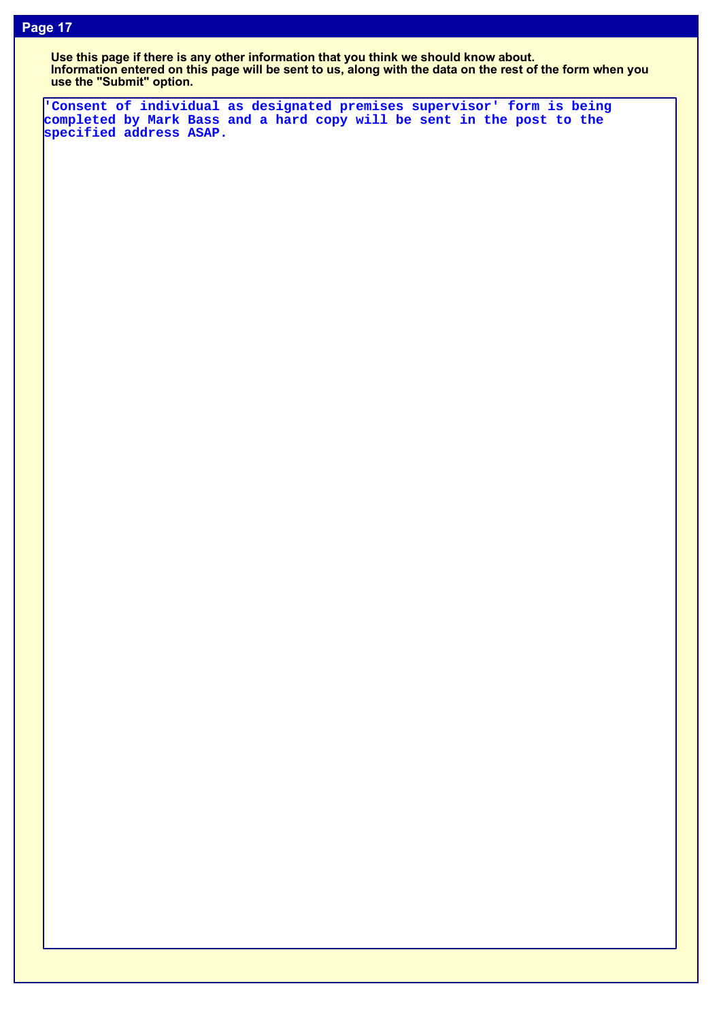**Use this page if there is any other information that you think we should know about. Information entered on this page will be sent to us, along with the data on the rest of the form when you use the "Submit" option.**

**'Consent of individual as designated premises supervisor' form is being completed by Mark Bass and a hard copy will be sent in the post to the specified address ASAP.**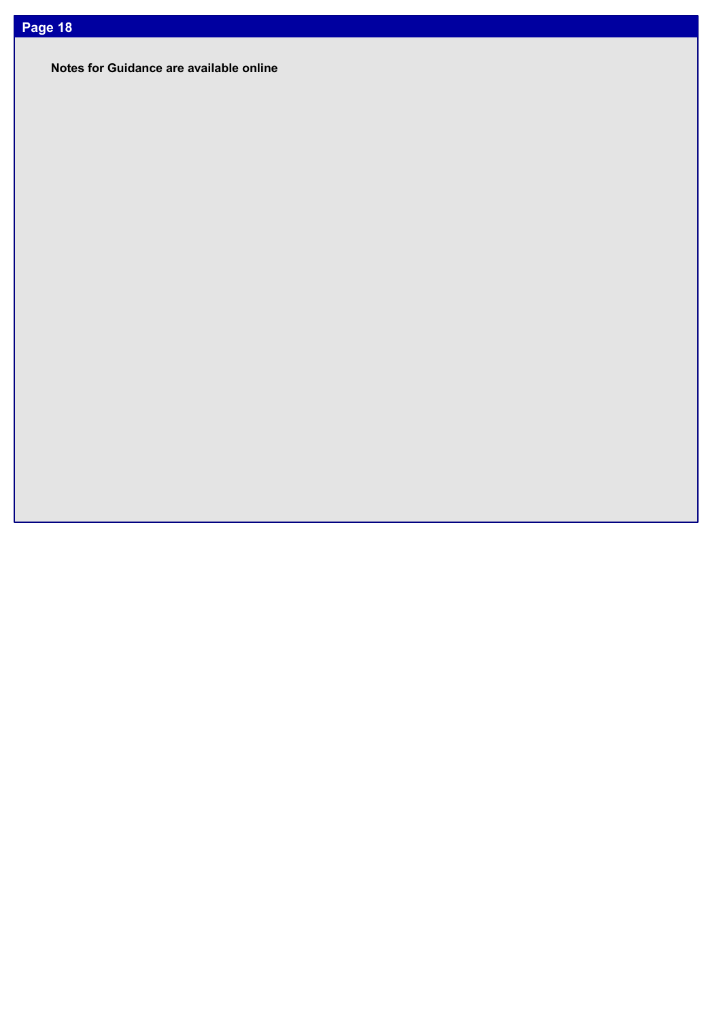**Notes for Guidance are available online**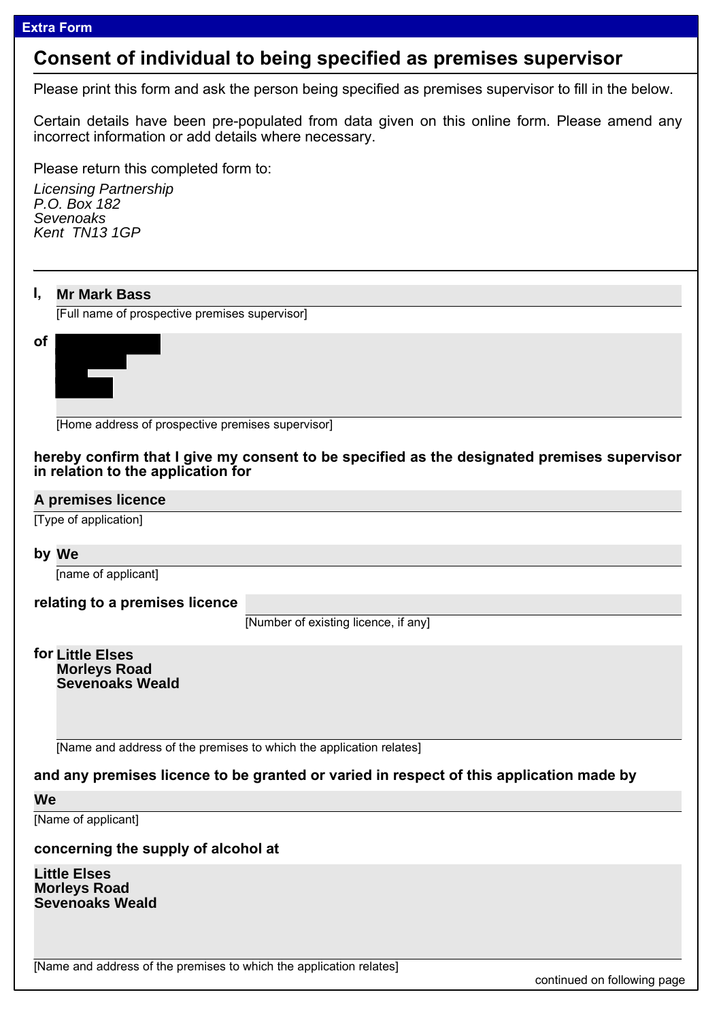## **Consent of individual to being specified as premises supervisor**

Please print this form and ask the person being specified as premises supervisor to fill in the below.

Certain details have been pre-populated from data given on this online form. Please amend any incorrect information or add details where necessary.

Please return this completed form to:

*Licensing Partnership P.O. Box 182 Sevenoaks Kent TN13 1GP*

#### **I, Mr Mark Bass**

[Full name of prospective premises supervisor]



[Home address of prospective premises supervisor]

**hereby confirm that I give my consent to be specified as the designated premises supervisor in relation to the application for**

### **A premises licence**

[Type of application]

## **by We**

[name of applicant]

**relating to a premises licence**

[Number of existing licence, if any]

**for Little Elses Morleys Road Sevenoaks Weald**

[Name and address of the premises to which the application relates]

## **and any premises licence to be granted or varied in respect of this application made by**

**We**

[Name of applicant]

### **concerning the supply of alcohol at**

**Little Elses Morleys Road Sevenoaks Weald**

[Name and address of the premises to which the application relates]

continued on following page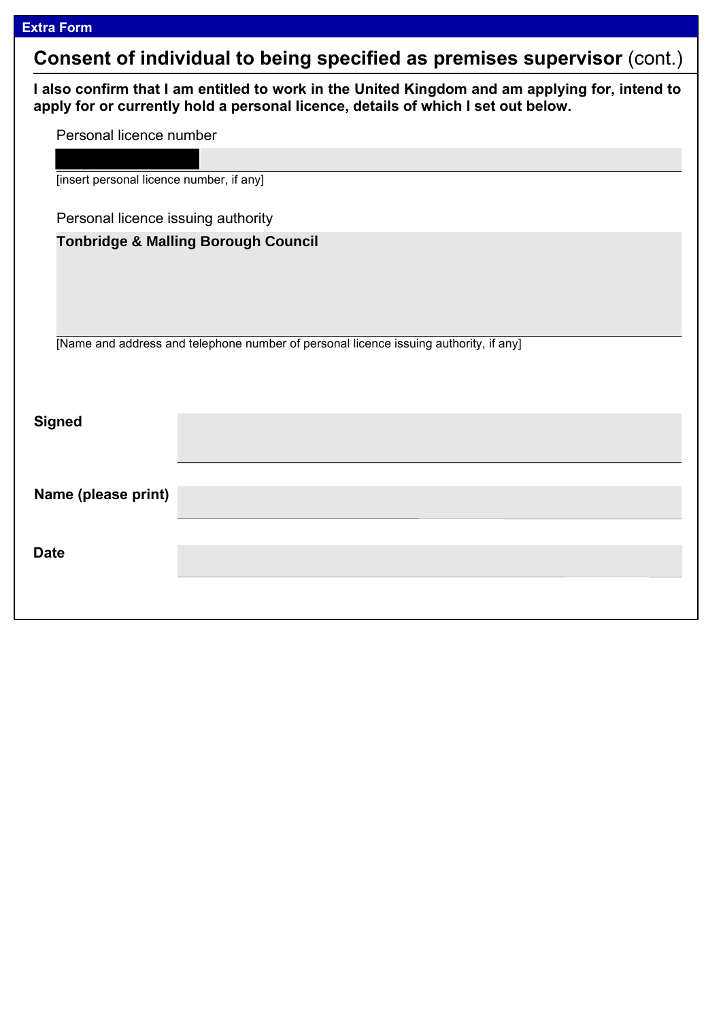# **Consent of individual to being specified as premises supervisor** (cont.)

**I also confirm that I am entitled to work in the United Kingdom and am applying for, intend to apply for or currently hold a personal licence, details of which I set out below.**

| Personal licence number                  |                                                                                       |
|------------------------------------------|---------------------------------------------------------------------------------------|
|                                          |                                                                                       |
| [insert personal licence number, if any] |                                                                                       |
| Personal licence issuing authority       |                                                                                       |
|                                          | <b>Tonbridge &amp; Malling Borough Council</b>                                        |
|                                          | [Name and address and telephone number of personal licence issuing authority, if any] |
| <b>Signed</b>                            |                                                                                       |
| Name (please print)                      |                                                                                       |
| <b>Date</b>                              |                                                                                       |
|                                          |                                                                                       |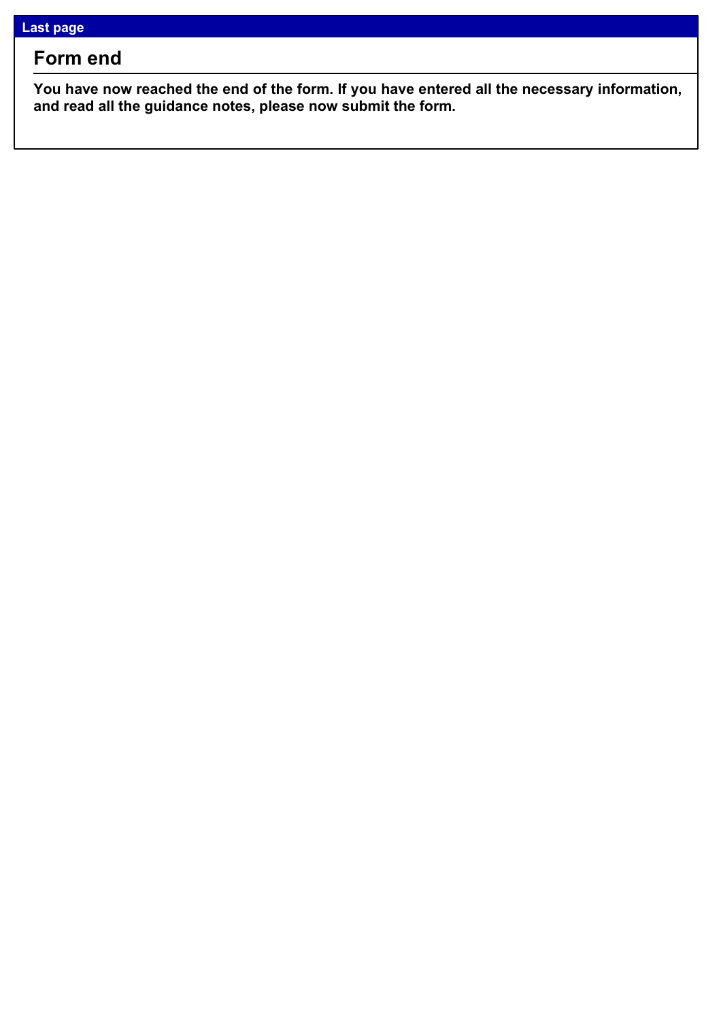## **Form end**

**You have now reached the end of the form. If you have entered all the necessary information, and read all the guidance notes, please now submit the form.**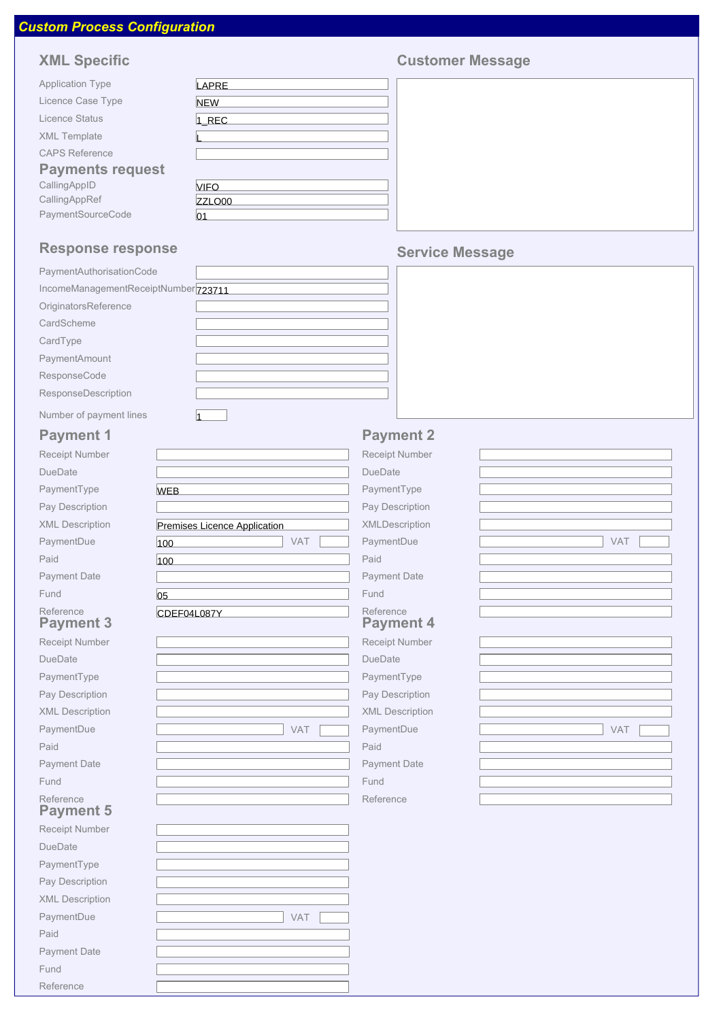## *Custom Process Configuration*

| <b>XML Specific</b>                             |              | <b>Customer Message</b> |
|-------------------------------------------------|--------------|-------------------------|
| <b>Application Type</b>                         | <b>LAPRE</b> |                         |
| Licence Case Type                               | <b>NEW</b>   |                         |
| Licence Status                                  | 1_REC        |                         |
| <b>XML</b> Template                             |              |                         |
| <b>CAPS Reference</b>                           |              |                         |
| <b>Payments request</b>                         |              |                         |
| CallingAppID                                    | <b>VIFO</b>  |                         |
| CallingAppRef                                   | ZZLO00       |                         |
| PaymentSourceCode                               | 01           |                         |
| <b>Response response</b>                        |              | <b>Service Message</b>  |
| PaymentAuthorisationCode                        |              |                         |
| IncomeManagementReceiptNumber <sub>723711</sub> |              |                         |
| OriginatorsReference                            |              |                         |
| CardScheme                                      |              |                         |

**CardType** PaymentAmount

| ResponseDescription |  |
|---------------------|--|
|---------------------|--|

Number of payment lines

1

## **Payment 1**

| <b>Receipt Number</b>         |                              | <b>Receipt Number</b>         |
|-------------------------------|------------------------------|-------------------------------|
| <b>DueDate</b>                |                              | DueDate                       |
| PaymentType                   | <b>WEB</b>                   | PaymentType                   |
| Pay Description               |                              | Pay Description               |
| <b>XML Description</b>        | Premises Licence Application | XMLDescription                |
| PaymentDue                    | VAT<br>100                   | PaymentDue                    |
| Paid                          | 100                          | Paid                          |
| Payment Date                  |                              | Payment Date                  |
| Fund                          | 05                           | Fund                          |
| Reference<br><b>Payment 3</b> | CDEF04L087Y                  | Reference<br><b>Payment 4</b> |
| Receipt Number                |                              | Receipt Number                |
| <b>DueDate</b>                |                              | <b>DueDate</b>                |
| PaymentType                   |                              | PaymentType                   |
| Pay Description               |                              | Pay Description               |
| <b>XML Description</b>        |                              | <b>XML Description</b>        |
| PaymentDue                    | VAT                          | PaymentDue                    |
| Paid                          |                              | Paid                          |
| Payment Date                  |                              | Payment Date                  |
| Fund                          |                              | Fund                          |
| Reference<br><b>Payment 5</b> |                              | Reference                     |
| Receipt Number                |                              |                               |
| <b>DueDate</b>                |                              |                               |
| PaymentType                   |                              |                               |
| Pay Description               |                              |                               |
| <b>XML Description</b>        |                              |                               |
| PaymentDue                    | VAT                          |                               |
| Paid                          |                              |                               |
| Payment Date                  |                              |                               |
| Fund                          |                              |                               |
| Reference                     |                              |                               |

# **Payment 2**

|     | Receipt Number         |            |
|-----|------------------------|------------|
|     | <b>DueDate</b>         |            |
|     | PaymentType            |            |
|     | Pay Description        |            |
|     | XMLDescription         |            |
| VAT | PaymentDue             | <b>VAT</b> |
|     | Paid                   |            |
|     | Payment Date           |            |
|     | Fund                   |            |
|     | Reference              |            |
|     | <b>Payment 4</b>       |            |
|     | Receipt Number         |            |
|     | <b>DueDate</b>         |            |
|     | PaymentType            |            |
|     | Pay Description        |            |
|     | <b>XML Description</b> |            |
| VAT | PaymentDue             | VAT        |
|     | Paid                   |            |
|     | Payment Date           |            |
|     | Fund                   |            |
|     | Reference              |            |
|     |                        |            |